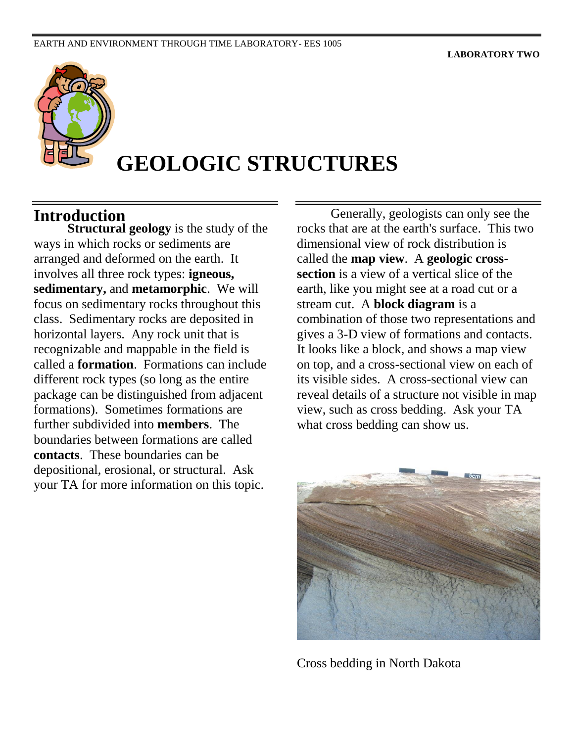

# **GEOLOGIC STRUCTURES**

#### **Introduction**

**Structural geology** is the study of the ways in which rocks or sediments are arranged and deformed on the earth. It involves all three rock types: **igneous, sedimentary,** and **metamorphic**. We will focus on sedimentary rocks throughout this class. Sedimentary rocks are deposited in horizontal layers. Any rock unit that is recognizable and mappable in the field is called a **formation**. Formations can include different rock types (so long as the entire package can be distinguished from adjacent formations). Sometimes formations are further subdivided into **members**. The boundaries between formations are called **contacts**. These boundaries can be depositional, erosional, or structural. Ask your TA for more information on this topic.

Generally, geologists can only see the rocks that are at the earth's surface. This two dimensional view of rock distribution is called the **map view**. A **geologic crosssection** is a view of a vertical slice of the earth, like you might see at a road cut or a stream cut. A **block diagram** is a combination of those two representations and gives a 3-D view of formations and contacts. It looks like a block, and shows a map view on top, and a cross-sectional view on each of its visible sides. A cross-sectional view can reveal details of a structure not visible in map view, such as cross bedding. Ask your TA what cross bedding can show us.



Cross bedding in North Dakota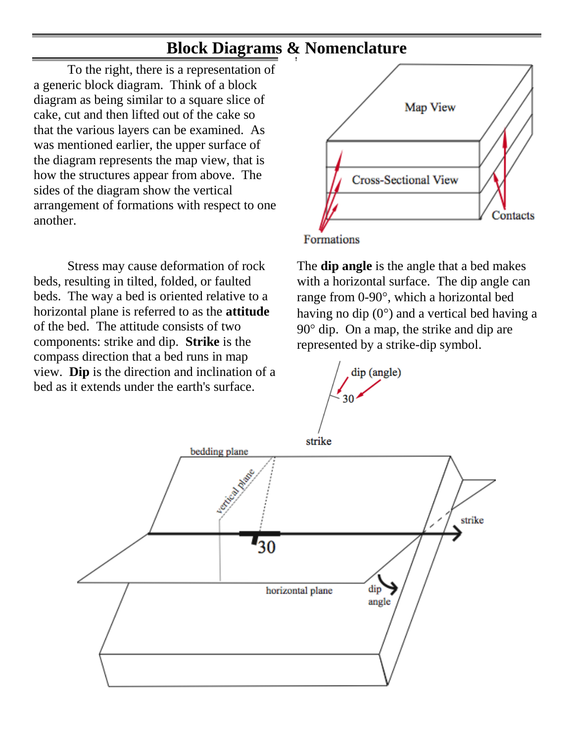#### **Block Diagrams & Nomenclature**

To the right, there is a representation of a generic block diagram. Think of a block diagram as being similar to a square slice of cake, cut and then lifted out of the cake so that the various layers can be examined. As was mentioned earlier, the upper surface of the diagram represents the map view, that is how the structures appear from above. The sides of the diagram show the vertical arrangement of formations with respect to one another.

Stress may cause deformation of rock beds, resulting in tilted, folded, or faulted beds. The way a bed is oriented relative to a horizontal plane is referred to as the **attitude** of the bed. The attitude consists of two components: strike and dip. **Strike** is the compass direction that a bed runs in map view. **Dip** is the direction and inclination of a bed as it extends under the earth's surface.



The **dip angle** is the angle that a bed makes with a horizontal surface. The dip angle can range from 0-90°, which a horizontal bed having no dip  $(0^{\circ})$  and a vertical bed having a  $90^\circ$  dip. On a map, the strike and dip are represented by a strike-dip symbol.



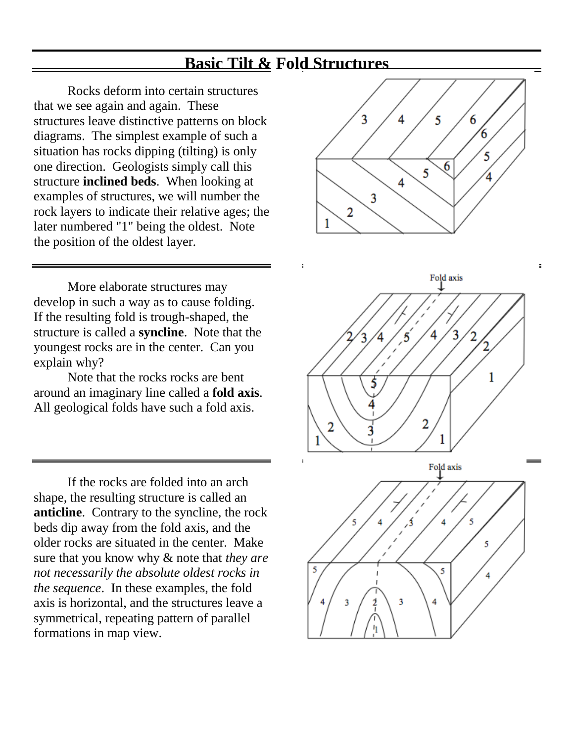## **Basic Tilt & Fold Structures**

Rocks deform into certain structures that we see again and again. These structures leave distinctive patterns on block diagrams. The simplest example of such a situation has rocks dipping (tilting) is only one direction. Geologists simply call this structure **inclined beds**. When looking at examples of structures, we will number the rock layers to indicate their relative ages; the later numbered "1" being the oldest. Note the position of the oldest layer.

More elaborate structures may develop in such a way as to cause folding. If the resulting fold is trough-shaped, the structure is called a **syncline**. Note that the youngest rocks are in the center. Can you explain why?

Note that the rocks rocks are bent around an imaginary line called a **fold axis**. All geological folds have such a fold axis.

If the rocks are folded into an arch shape, the resulting structure is called an **anticline**. Contrary to the syncline, the rock beds dip away from the fold axis, and the older rocks are situated in the center. Make sure that you know why & note that *they are not necessarily the absolute oldest rocks in the sequence*. In these examples, the fold axis is horizontal, and the structures leave a symmetrical, repeating pattern of parallel formations in map view.



 $\blacksquare$ 



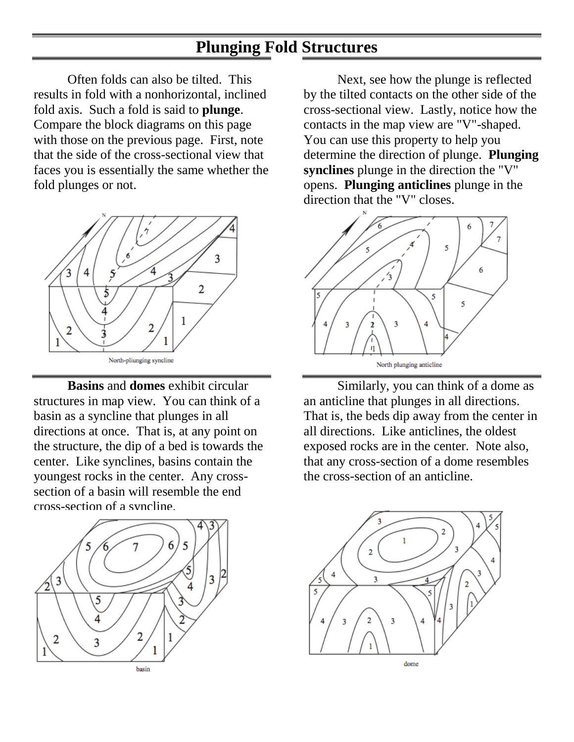## **Plunging Fold Structures**

Often folds can also be tilted. This results in fold with a nonhorizontal, inclined fold axis. Such a fold is said to **plunge**. Compare the block diagrams on this page with those on the previous page. First, note that the side of the cross-sectional view that faces you is essentially the same whether the fold plunges or not.



**Basins** and **domes** exhibit circular structures in map view. You can think of a basin as a syncline that plunges in all directions at once. That is, at any point on the structure, the dip of a bed is towards the center. Like synclines, basins contain the youngest rocks in the center. Any crosssection of a basin will resemble the end cross-section of a syncline.



Next, see how the plunge is reflected by the tilted contacts on the other side of the cross-sectional view. Lastly, notice how the contacts in the map view are "V"-shaped. You can use this property to help you determine the direction of plunge. **Plunging synclines** plunge in the direction the "V" opens. **Plunging anticlines** plunge in the direction that the "V" closes.



Similarly, you can think of a dome as an anticline that plunges in all directions. That is, the beds dip away from the center in all directions. Like anticlines, the oldest exposed rocks are in the center. Note also, that any cross-section of a dome resembles the cross-section of an anticline.

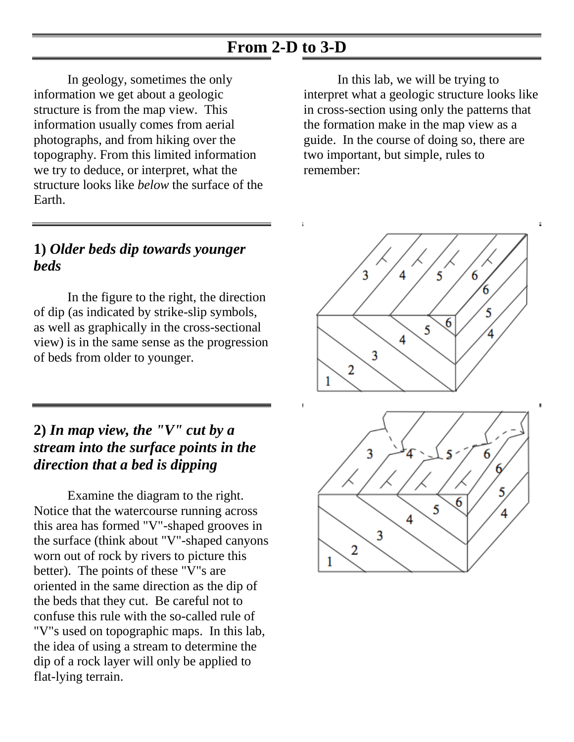## **From 2-D to 3-D**

In geology, sometimes the only information we get about a geologic structure is from the map view. This information usually comes from aerial photographs, and from hiking over the topography. From this limited information we try to deduce, or interpret, what the structure looks like *below* the surface of the Earth.

#### **1)** *Older beds dip towards younger beds*

In the figure to the right, the direction of dip (as indicated by strike-slip symbols, as well as graphically in the cross-sectional view) is in the same sense as the progression of beds from older to younger.

#### **2)** *In map view, the "V" cut by a stream into the surface points in the direction that a bed is dipping*

Examine the diagram to the right. Notice that the watercourse running across this area has formed "V"-shaped grooves in the surface (think about "V"-shaped canyons worn out of rock by rivers to picture this better). The points of these "V"s are oriented in the same direction as the dip of the beds that they cut. Be careful not to confuse this rule with the so-called rule of "V"s used on topographic maps. In this lab, the idea of using a stream to determine the dip of a rock layer will only be applied to flat-lying terrain.

In this lab, we will be trying to interpret what a geologic structure looks like in cross-section using only the patterns that the formation make in the map view as a guide. In the course of doing so, there are two important, but simple, rules to remember:

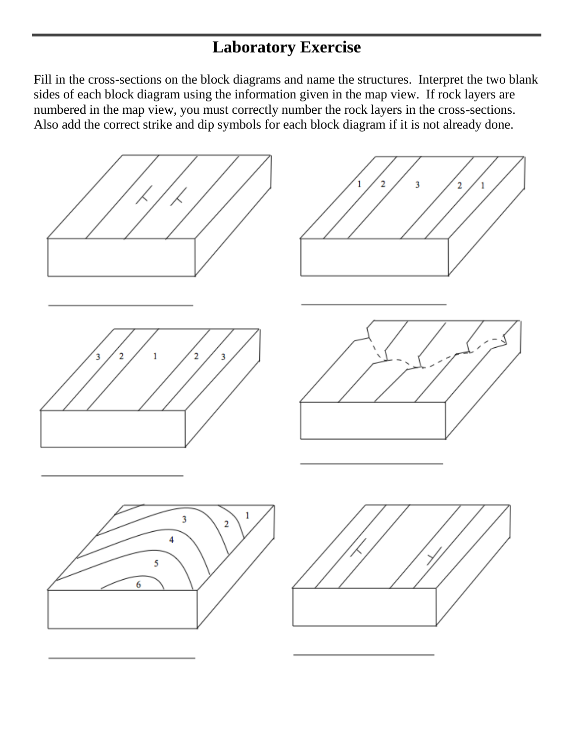## **Laboratory Exercise**

Fill in the cross-sections on the block diagrams and name the structures. Interpret the two blank sides of each block diagram using the information given in the map view. If rock layers are numbered in the map view, you must correctly number the rock layers in the cross-sections. Also add the correct strike and dip symbols for each block diagram if it is not already done.